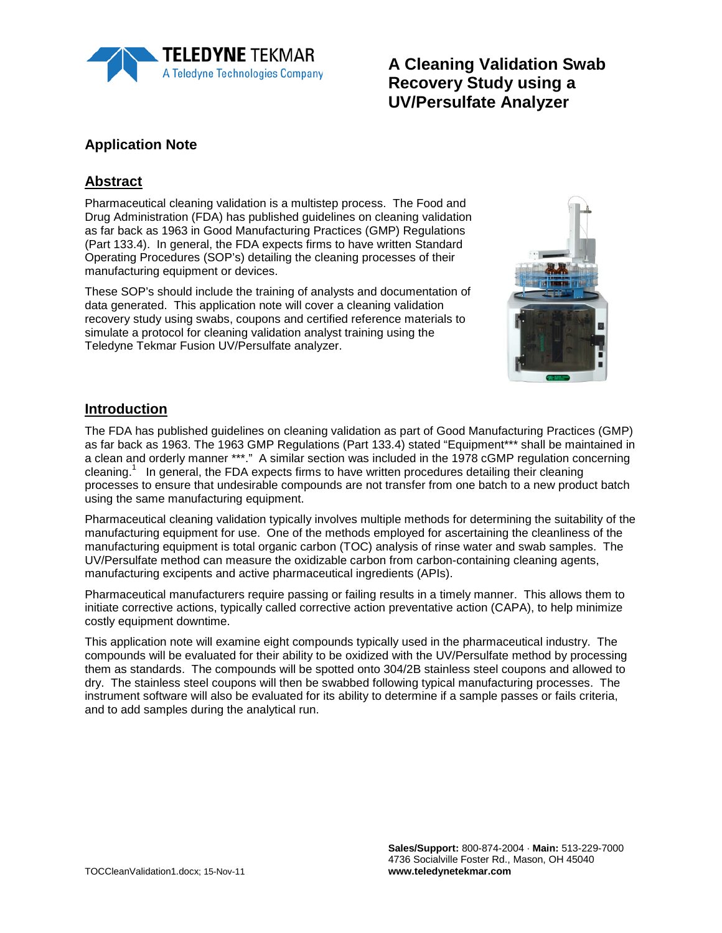

# **A Cleaning Validation Swab Recovery Study using a UV/Persulfate Analyzer**

## **Application Note**

## **Abstract**

Pharmaceutical cleaning validation is a multistep process. The Food and Drug Administration (FDA) has published guidelines on cleaning validation as far back as 1963 in Good Manufacturing Practices (GMP) Regulations (Part 133.4). In general, the FDA expects firms to have written Standard Operating Procedures (SOP's) detailing the cleaning processes of their manufacturing equipment or devices.

These SOP's should include the training of analysts and documentation of data generated. This application note will cover a cleaning validation recovery study using swabs, coupons and certified reference materials to simulate a protocol for cleaning validation analyst training using the Teledyne Tekmar Fusion UV/Persulfate analyzer.



#### **Introduction**

The FDA has published guidelines on cleaning validation as part of Good Manufacturing Practices (GMP) as far back as 1963. The 1963 GMP Regulations (Part 133.4) stated "Equipment\*\*\* shall be maintained in a clean and orderly manner \*\*\*." A similar section was included in the 1978 cGMP regulation concerning cleaning.<sup>1</sup> In general, the FDA expects firms to have written procedures detailing their cleaning processes to ensure that undesirable compounds are not transfer from one batch to a new product batch using the same manufacturing equipment.

Pharmaceutical cleaning validation typically involves multiple methods for determining the suitability of the manufacturing equipment for use. One of the methods employed for ascertaining the cleanliness of the manufacturing equipment is total organic carbon (TOC) analysis of rinse water and swab samples. The UV/Persulfate method can measure the oxidizable carbon from carbon-containing cleaning agents, manufacturing excipents and active pharmaceutical ingredients (APIs).

Pharmaceutical manufacturers require passing or failing results in a timely manner. This allows them to initiate corrective actions, typically called corrective action preventative action (CAPA), to help minimize costly equipment downtime.

This application note will examine eight compounds typically used in the pharmaceutical industry. The compounds will be evaluated for their ability to be oxidized with the UV/Persulfate method by processing them as standards. The compounds will be spotted onto 304/2B stainless steel coupons and allowed to dry. The stainless steel coupons will then be swabbed following typical manufacturing processes. The instrument software will also be evaluated for its ability to determine if a sample passes or fails criteria, and to add samples during the analytical run.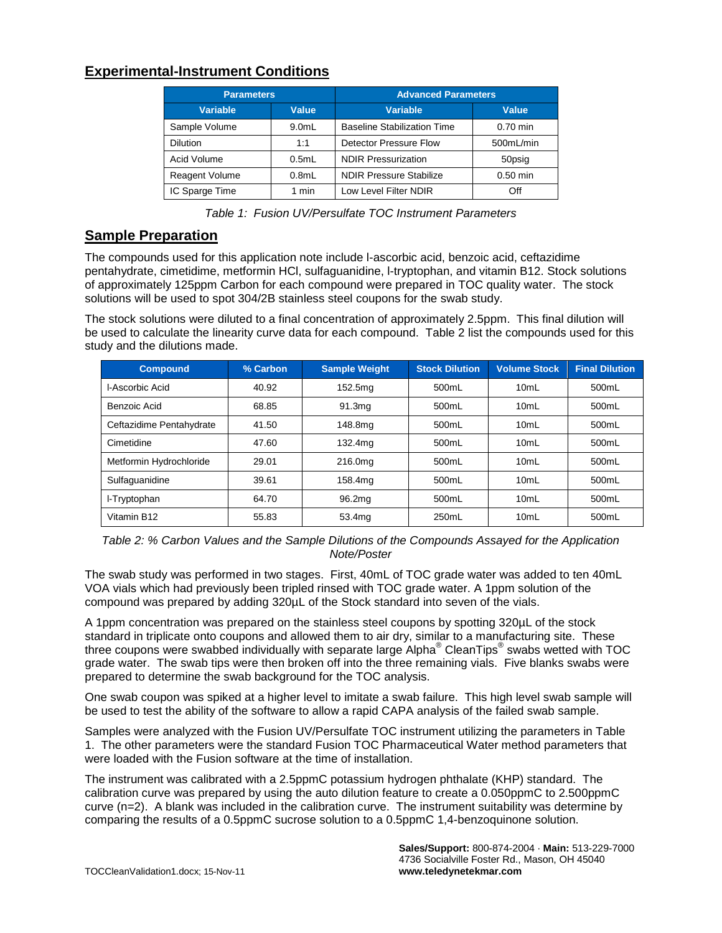#### **Experimental-Instrument Conditions**

| <b>Parameters</b> |          | <b>Advanced Parameters</b>         |            |  |
|-------------------|----------|------------------------------------|------------|--|
| <b>Variable</b>   | Value    | <b>Variable</b>                    | Value      |  |
| Sample Volume     | $9.0m$ L | <b>Baseline Stabilization Time</b> | $0.70$ min |  |
| <b>Dilution</b>   | 1:1      | Detector Pressure Flow             | 500mL/min  |  |
| Acid Volume       | 0.5mL    | <b>NDIR Pressurization</b>         | 50psig     |  |
| Reagent Volume    | 0.8mL    | <b>NDIR Pressure Stabilize</b>     | $0.50$ min |  |
| IC Sparge Time    | 1 min    | Low Level Filter NDIR              | Off        |  |

*Table 1: Fusion UV/Persulfate TOC Instrument Parameters*

#### **Sample Preparation**

The compounds used for this application note include l-ascorbic acid, benzoic acid, ceftazidime pentahydrate, cimetidime, metformin HCl, sulfaguanidine, l-tryptophan, and vitamin B12. Stock solutions of approximately 125ppm Carbon for each compound were prepared in TOC quality water. The stock solutions will be used to spot 304/2B stainless steel coupons for the swab study.

The stock solutions were diluted to a final concentration of approximately 2.5ppm. This final dilution will be used to calculate the linearity curve data for each compound. Table 2 list the compounds used for this study and the dilutions made.

| <b>Compound</b>          | % Carbon | <b>Sample Weight</b> | <b>Stock Dilution</b> | <b>Volume Stock</b> | <b>Final Dilution</b> |
|--------------------------|----------|----------------------|-----------------------|---------------------|-----------------------|
| I-Ascorbic Acid          | 40.92    | 152.5mg              | 500mL                 | 10mL                | 500mL                 |
| Benzoic Acid             | 68.85    | 91.3 <sub>ma</sub>   | 500mL                 | 10mL                | 500mL                 |
| Ceftazidime Pentahydrate | 41.50    | 148.8mg              | 500mL                 | 10mL                | 500mL                 |
| Cimetidine               | 47.60    | 132.4mg              | 500mL                 | 10mL                | 500mL                 |
| Metformin Hydrochloride  | 29.01    | 216.0mg              | 500mL                 | 10mL                | 500mL                 |
| Sulfaquanidine           | 39.61    | 158.4mg              | 500mL                 | 10mL                | 500mL                 |
| I-Tryptophan             | 64.70    | 96.2mg               | 500mL                 | 10mL                | 500mL                 |
| Vitamin B12              | 55.83    | 53.4mg               | 250mL                 | 10mL                | 500mL                 |

*Table 2: % Carbon Values and the Sample Dilutions of the Compounds Assayed for the Application Note/Poster*

The swab study was performed in two stages. First, 40mL of TOC grade water was added to ten 40mL VOA vials which had previously been tripled rinsed with TOC grade water. A 1ppm solution of the compound was prepared by adding 320µL of the Stock standard into seven of the vials.

A 1ppm concentration was prepared on the stainless steel coupons by spotting 320µL of the stock standard in triplicate onto coupons and allowed them to air dry, similar to a manufacturing site. These three coupons were swabbed individually with separate large Alpha<sup>®</sup> CleanTips<sup>®</sup> swabs wetted with TOC grade water. The swab tips were then broken off into the three remaining vials. Five blanks swabs were prepared to determine the swab background for the TOC analysis.

One swab coupon was spiked at a higher level to imitate a swab failure. This high level swab sample will be used to test the ability of the software to allow a rapid CAPA analysis of the failed swab sample.

Samples were analyzed with the Fusion UV/Persulfate TOC instrument utilizing the parameters in Table 1. The other parameters were the standard Fusion TOC Pharmaceutical Water method parameters that were loaded with the Fusion software at the time of installation.

The instrument was calibrated with a 2.5ppmC potassium hydrogen phthalate (KHP) standard. The calibration curve was prepared by using the auto dilution feature to create a 0.050ppmC to 2.500ppmC curve (n=2). A blank was included in the calibration curve. The instrument suitability was determine by comparing the results of a 0.5ppmC sucrose solution to a 0.5ppmC 1,4-benzoquinone solution.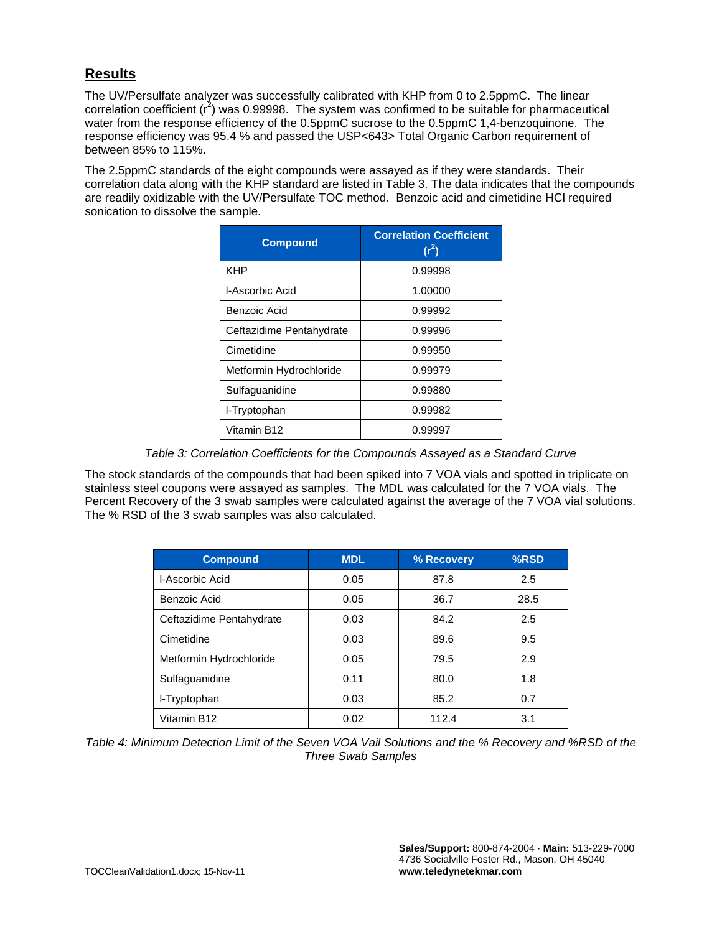### **Results**

The UV/Persulfate analyzer was successfully calibrated with KHP from 0 to 2.5ppmC. The linear correlation coefficient  $(r^2)$  was 0.99998. The system was confirmed to be suitable for pharmaceutical water from the response efficiency of the 0.5ppmC sucrose to the 0.5ppmC 1,4-benzoquinone. The response efficiency was 95.4 % and passed the USP<643> Total Organic Carbon requirement of between 85% to 115%.

The 2.5ppmC standards of the eight compounds were assayed as if they were standards. Their correlation data along with the KHP standard are listed in Table 3. The data indicates that the compounds are readily oxidizable with the UV/Persulfate TOC method. Benzoic acid and cimetidine HCl required sonication to dissolve the sample.

| <b>Compound</b>          | <b>Correlation Coefficient</b><br>$(r^2)$ |  |  |
|--------------------------|-------------------------------------------|--|--|
| <b>KHP</b>               | 0.99998                                   |  |  |
| I-Ascorbic Acid          | 1.00000                                   |  |  |
| Benzoic Acid             | 0.99992                                   |  |  |
| Ceftazidime Pentahydrate | 0.99996                                   |  |  |
| Cimetidine               | 0.99950                                   |  |  |
| Metformin Hydrochloride  | 0.99979                                   |  |  |
| Sulfaguanidine           | 0.99880                                   |  |  |
| I-Tryptophan             | 0.99982                                   |  |  |
| Vitamin B12              | 0.99997                                   |  |  |

*Table 3: Correlation Coefficients for the Compounds Assayed as a Standard Curve*

The stock standards of the compounds that had been spiked into 7 VOA vials and spotted in triplicate on stainless steel coupons were assayed as samples. The MDL was calculated for the 7 VOA vials. The Percent Recovery of the 3 swab samples were calculated against the average of the 7 VOA vial solutions. The % RSD of the 3 swab samples was also calculated.

| <b>Compound</b>          | <b>MDL</b> | % Recovery | %RSD |
|--------------------------|------------|------------|------|
| I-Ascorbic Acid          | 0.05       | 87.8       | 2.5  |
| Benzoic Acid             | 0.05       | 36.7       | 28.5 |
| Ceftazidime Pentahydrate | 0.03       | 84.2       | 2.5  |
| Cimetidine               | 0.03       | 89.6       | 9.5  |
| Metformin Hydrochloride  | 0.05       | 79.5       | 2.9  |
| Sulfaguanidine           | 0.11       | 80.0       | 1.8  |
| I-Tryptophan             | 0.03       | 85.2       | 0.7  |
| Vitamin B12              | 0.02       | 112.4      | 3.1  |

*Table 4: Minimum Detection Limit of the Seven VOA Vail Solutions and the % Recovery and %RSD of the Three Swab Samples*